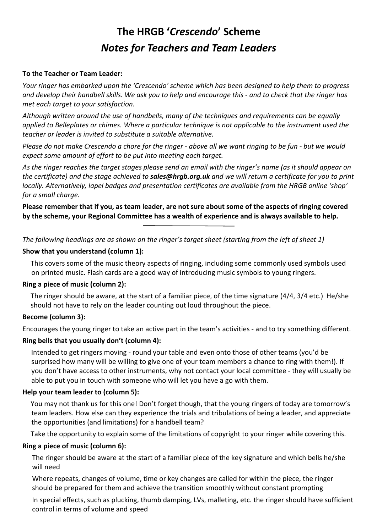# **The HRGB '***Crescendo***' Scheme** *Notes for Teachers and Team Leaders*

# **To the Teacher or Team Leader:**

*Your ringer has embarked upon the 'Crescendo' scheme which has been designed to help them to progress and develop their handbell skills. We ask you to help and encourage this - and to check that the ringer has met each target to your satisfaction.*

*Although written around the use of handbells, many of the techniques and requirements can be equally applied to Belleplates or chimes. Where a particular technique is not applicable to the instrument used the teacher or leader is invited to substitute a suitable alternative.*

*Please do not make Crescendo a chore for the ringer - above all we want ringing to be fun - but we would expect some amount of effort to be put into meeting each target.*

*As the ringer reaches the target stages please send an email with the ringer's name (as it should appear on the certificate) and the stage achieved to sales@hrgb.org.uk and we will return a certificate for you to print locally. Alternatively, lapel badges and presentation certificates are available from the HRGB online 'shop' for a small charge.*

**Please remember that if you, as team leader, are not sure about some of the aspects of ringing covered by the scheme, your Regional Committee has a wealth of experience and is always available to help.**

*The following headings are as shown on the ringer's target sheet (starting from the left of sheet 1)*

#### **Show that you understand (column 1):**

This covers some of the music theory aspects of ringing, including some commonly used symbols used on printed music. Flash cards are a good way of introducing music symbols to young ringers.

# **Ring a piece of music (column 2):**

The ringer should be aware, at the start of a familiar piece, of the time signature (4/4, 3/4 etc.) He/she should not have to rely on the leader counting out loud throughout the piece.

# **Become (column 3):**

Encourages the young ringer to take an active part in the team's activities - and to try something different.

#### **Ring bells that you usually don't (column 4):**

Intended to get ringers moving - round your table and even onto those of other teams (you'd be surprised how many will be willing to give one of your team members a chance to ring with them!). If you don't have access to other instruments, why not contact your local committee - they will usually be able to put you in touch with someone who will let you have a go with them.

# **Help your team leader to (column 5):**

You may not thank us for this one! Don't forget though, that the young ringers of today are tomorrow's team leaders. How else can they experience the trials and tribulations of being a leader, and appreciate the opportunities (and limitations) for a handbell team?

Take the opportunity to explain some of the limitations of copyright to your ringer while covering this.

#### **Ring a piece of music (column 6):**

The ringer should be aware at the start of a familiar piece of the key signature and which bells he/she will need

Where repeats, changes of volume, time or key changes are called for within the piece, the ringer should be prepared for them and achieve the transition smoothly without constant prompting

In special effects, such as plucking, thumb damping, LVs, malleting, etc. the ringer should have sufficient control in terms of volume and speed